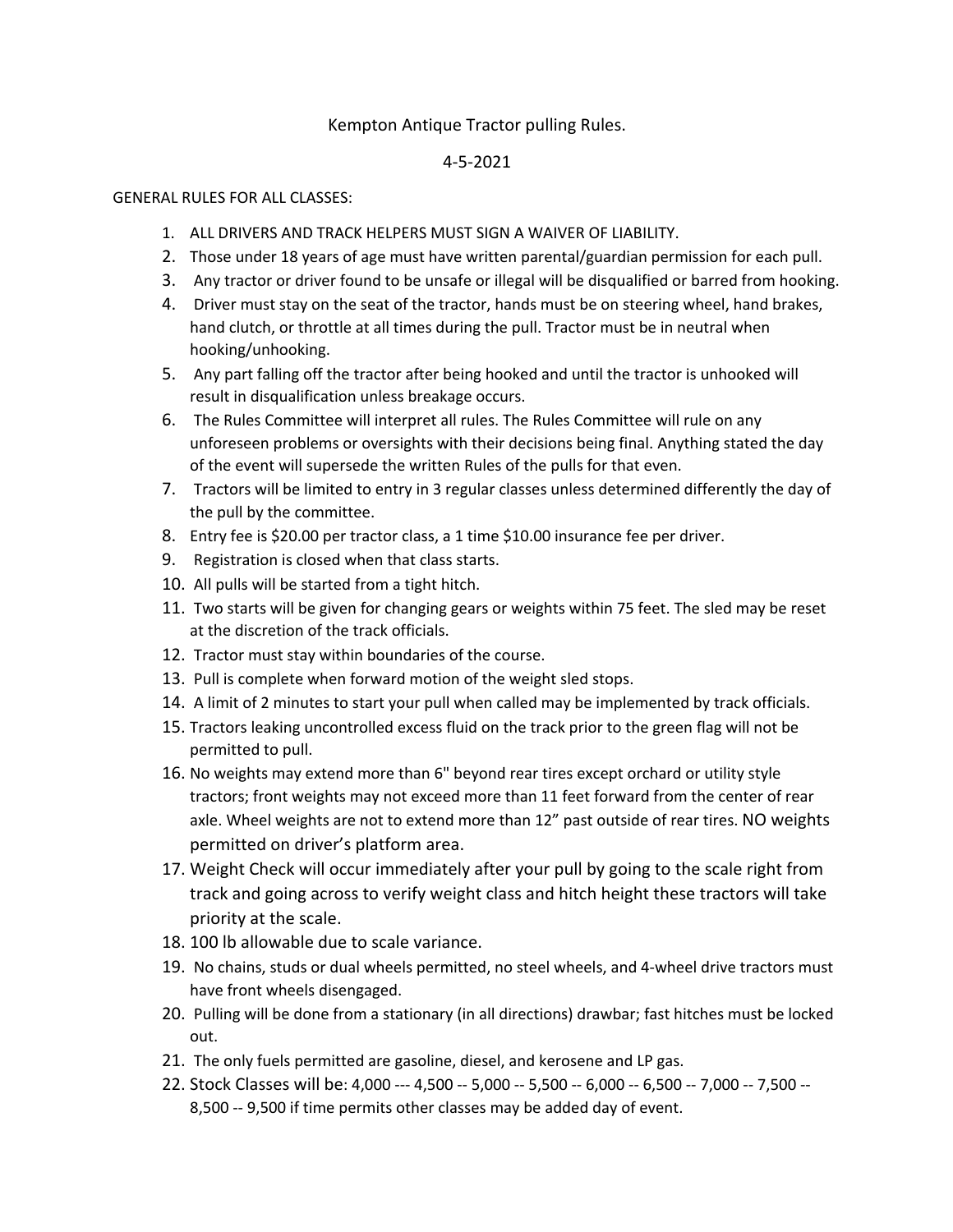## Kempton Antique Tractor pulling Rules.

## 4-5-2021

## GENERAL RULES FOR ALL CLASSES:

- 1. ALL DRIVERS AND TRACK HELPERS MUST SIGN A WAIVER OF LIABILITY.
- 2. Those under 18 years of age must have written parental/guardian permission for each pull.
- 3. Any tractor or driver found to be unsafe or illegal will be disqualified or barred from hooking.
- 4. Driver must stay on the seat of the tractor, hands must be on steering wheel, hand brakes, hand clutch, or throttle at all times during the pull. Tractor must be in neutral when hooking/unhooking.
- 5. Any part falling off the tractor after being hooked and until the tractor is unhooked will result in disqualification unless breakage occurs.
- 6. The Rules Committee will interpret all rules. The Rules Committee will rule on any unforeseen problems or oversights with their decisions being final. Anything stated the day of the event will supersede the written Rules of the pulls for that even.
- 7. Tractors will be limited to entry in 3 regular classes unless determined differently the day of the pull by the committee.
- 8. Entry fee is \$20.00 per tractor class, a 1 time \$10.00 insurance fee per driver.
- 9. Registration is closed when that class starts.
- 10. All pulls will be started from a tight hitch.
- 11. Two starts will be given for changing gears or weights within 75 feet. The sled may be reset at the discretion of the track officials.
- 12. Tractor must stay within boundaries of the course.
- 13. Pull is complete when forward motion of the weight sled stops.
- 14. A limit of 2 minutes to start your pull when called may be implemented by track officials.
- 15. Tractors leaking uncontrolled excess fluid on the track prior to the green flag will not be permitted to pull.
- 16. No weights may extend more than 6" beyond rear tires except orchard or utility style tractors; front weights may not exceed more than 11 feet forward from the center of rear axle. Wheel weights are not to extend more than 12" past outside of rear tires. NO weights permitted on driver's platform area.
- 17. Weight Check will occur immediately after your pull by going to the scale right from track and going across to verify weight class and hitch height these tractors will take priority at the scale.
- 18. 100 lb allowable due to scale variance.
- 19. No chains, studs or dual wheels permitted, no steel wheels, and 4-wheel drive tractors must have front wheels disengaged.
- 20. Pulling will be done from a stationary (in all directions) drawbar; fast hitches must be locked out.
- 21. The only fuels permitted are gasoline, diesel, and kerosene and LP gas.
- 22. Stock Classes will be: 4,000 --- 4,500 -- 5,000 -- 5,500 -- 6,000 -- 6,500 -- 7,000 -- 7,500 -- 8,500 -- 9,500 if time permits other classes may be added day of event.